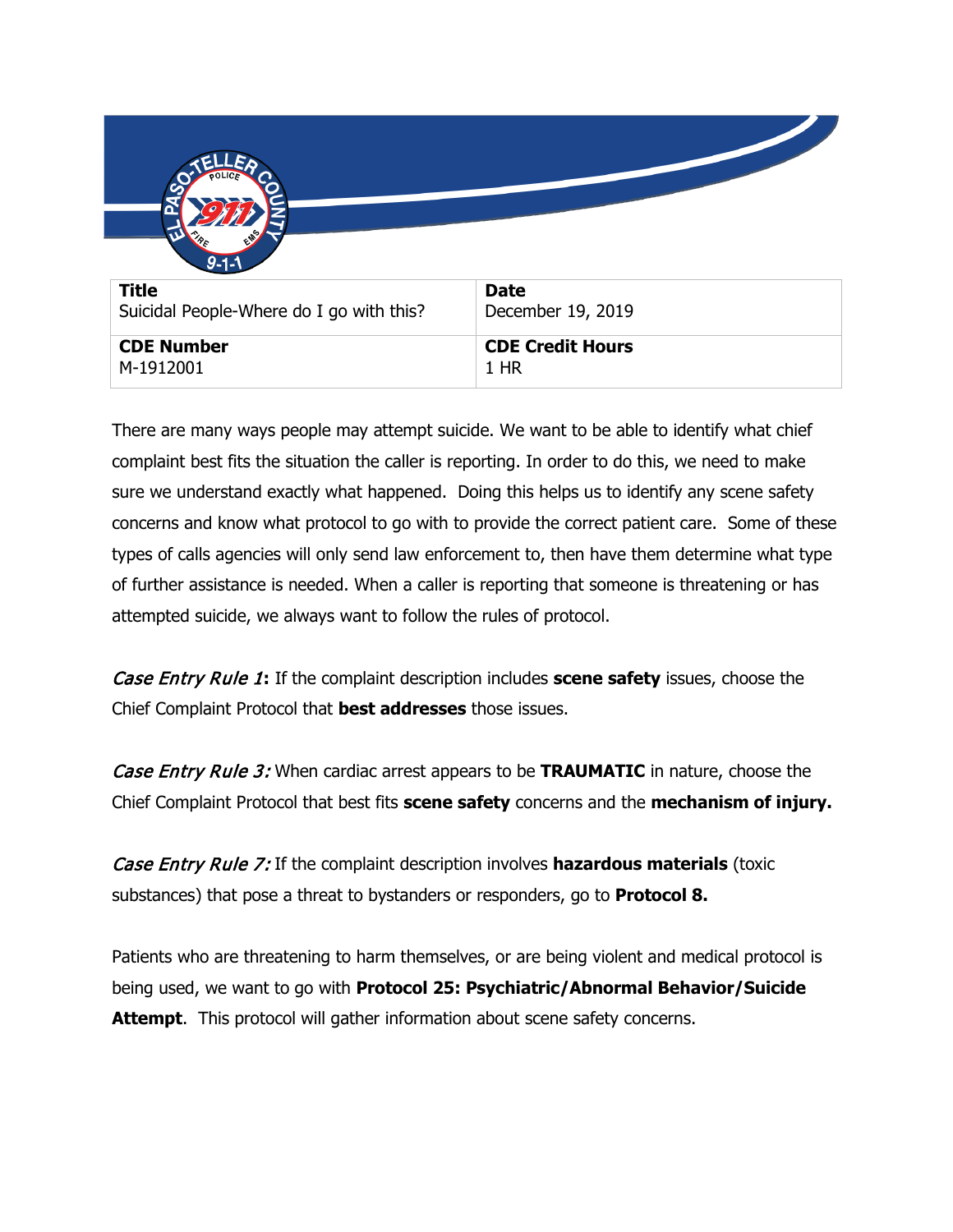| $9 - 1 - 1$<br><b>Title</b><br>Suicidal People-Where do I go with this? | <b>Date</b><br>December 19, 2019 |
|-------------------------------------------------------------------------|----------------------------------|
| <b>CDE Number</b><br>M-1912001                                          | <b>CDE Credit Hours</b><br>1 HR  |

There are many ways people may attempt suicide. We want to be able to identify what chief complaint best fits the situation the caller is reporting. In order to do this, we need to make sure we understand exactly what happened. Doing this helps us to identify any scene safety concerns and know what protocol to go with to provide the correct patient care. Some of these types of calls agencies will only send law enforcement to, then have them determine what type of further assistance is needed. When a caller is reporting that someone is threatening or has attempted suicide, we always want to follow the rules of protocol.

Case Entry Rule 1**:** If the complaint description includes **scene safety** issues, choose the Chief Complaint Protocol that **best addresses** those issues.

Case Entry Rule 3: When cardiac arrest appears to be **TRAUMATIC** in nature, choose the Chief Complaint Protocol that best fits **scene safety** concerns and the **mechanism of injury.**

Case Entry Rule 7: If the complaint description involves **hazardous materials** (toxic substances) that pose a threat to bystanders or responders, go to **Protocol 8.**

Patients who are threatening to harm themselves, or are being violent and medical protocol is being used, we want to go with **Protocol 25: Psychiatric/Abnormal Behavior/Suicide Attempt**. This protocol will gather information about scene safety concerns.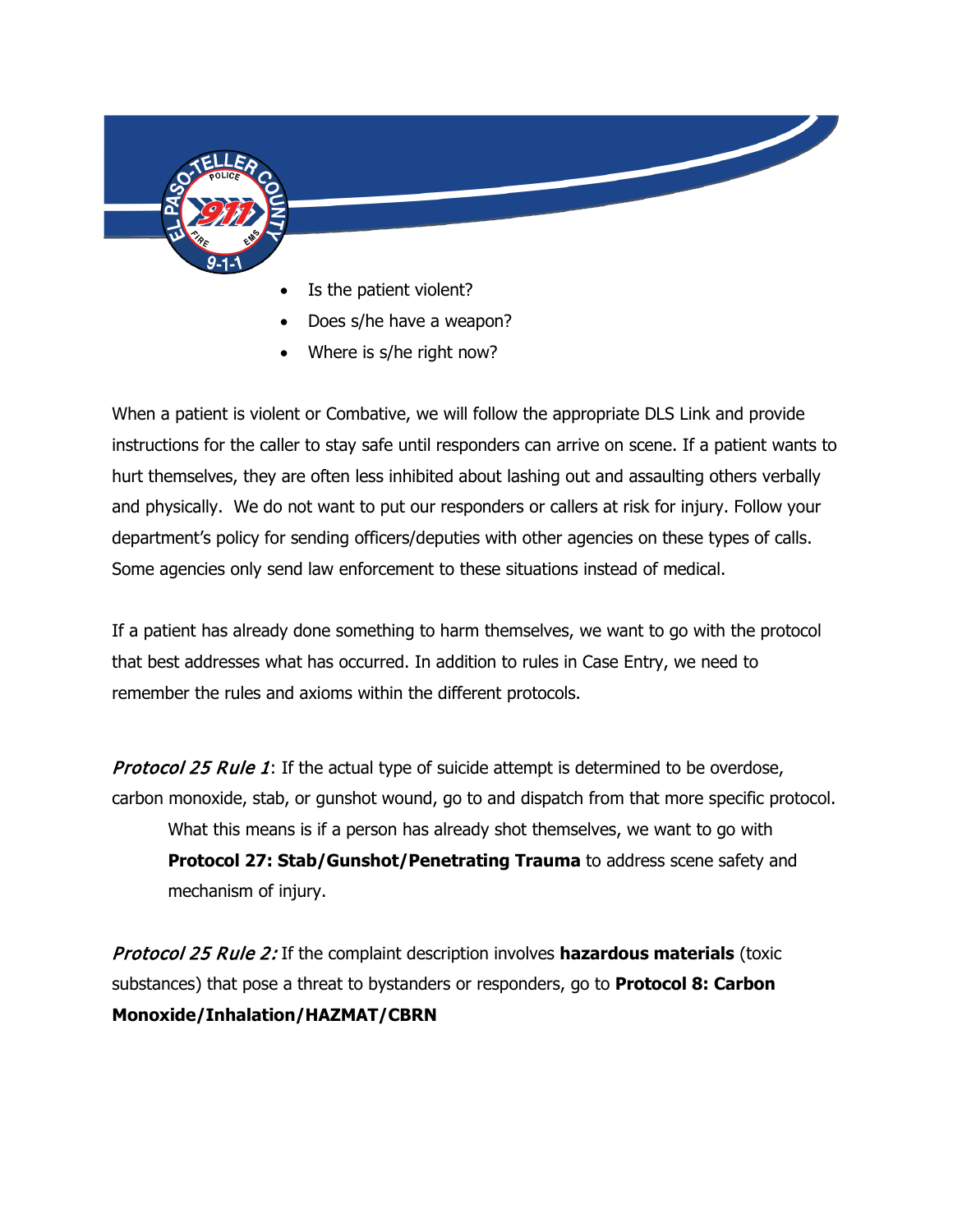

- Is the patient violent?
- Does s/he have a weapon?
- Where is s/he right now?

When a patient is violent or Combative, we will follow the appropriate DLS Link and provide instructions for the caller to stay safe until responders can arrive on scene. If a patient wants to hurt themselves, they are often less inhibited about lashing out and assaulting others verbally and physically. We do not want to put our responders or callers at risk for injury. Follow your department's policy for sending officers/deputies with other agencies on these types of calls. Some agencies only send law enforcement to these situations instead of medical.

If a patient has already done something to harm themselves, we want to go with the protocol that best addresses what has occurred. In addition to rules in Case Entry, we need to remember the rules and axioms within the different protocols.

**Protocol 25 Rule 1:** If the actual type of suicide attempt is determined to be overdose, carbon monoxide, stab, or gunshot wound, go to and dispatch from that more specific protocol. What this means is if a person has already shot themselves, we want to go with **Protocol 27: Stab/Gunshot/Penetrating Trauma** to address scene safety and mechanism of injury.

Protocol 25 Rule 2: If the complaint description involves **hazardous materials** (toxic substances) that pose a threat to bystanders or responders, go to **Protocol 8: Carbon Monoxide/Inhalation/HAZMAT/CBRN**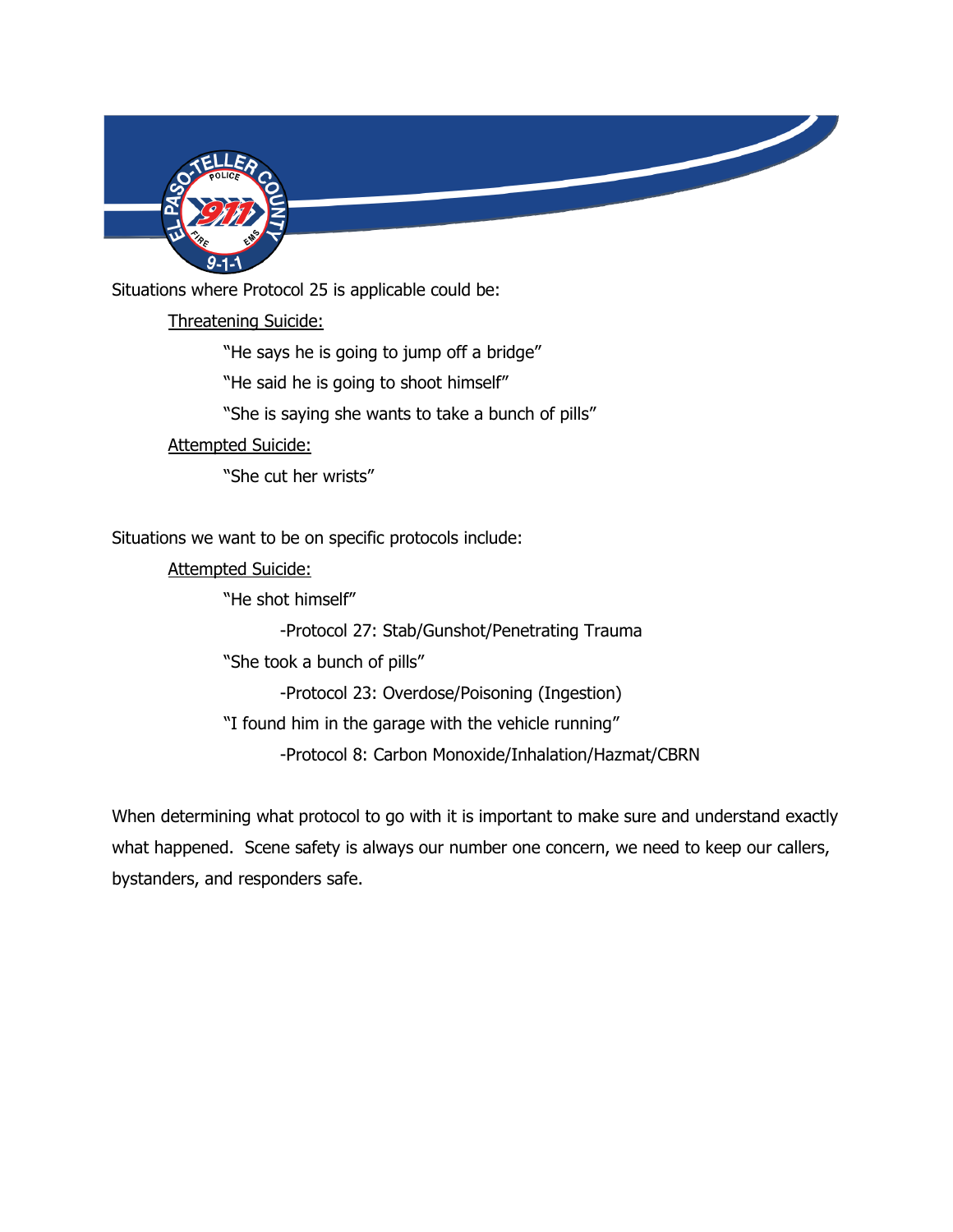

Situations where Protocol 25 is applicable could be:

Threatening Suicide:

"He says he is going to jump off a bridge" "He said he is going to shoot himself" "She is saying she wants to take a bunch of pills" Attempted Suicide: "She cut her wrists"

Situations we want to be on specific protocols include:

Attempted Suicide:

"He shot himself"

-Protocol 27: Stab/Gunshot/Penetrating Trauma

"She took a bunch of pills"

-Protocol 23: Overdose/Poisoning (Ingestion)

"I found him in the garage with the vehicle running"

-Protocol 8: Carbon Monoxide/Inhalation/Hazmat/CBRN

When determining what protocol to go with it is important to make sure and understand exactly what happened. Scene safety is always our number one concern, we need to keep our callers, bystanders, and responders safe.